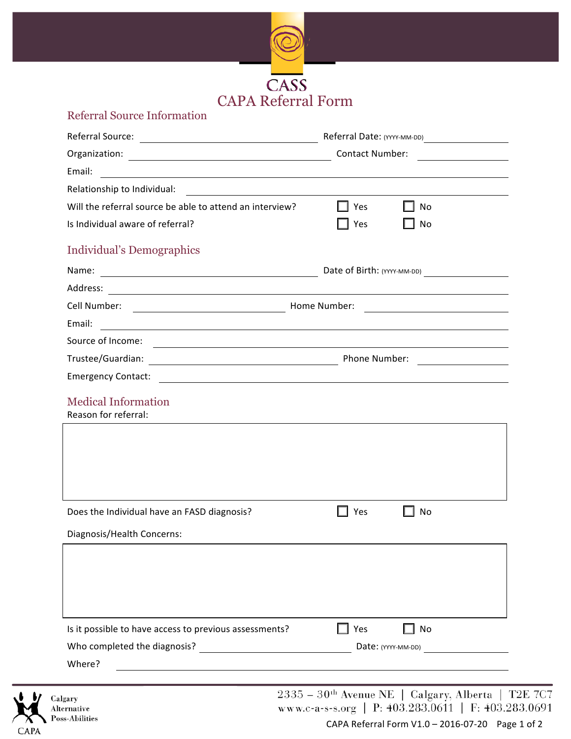

## Referral Source Information

|                                                                                                                                                    | Referral Date: (YYYY-MM-DD)                                                                                                                                                                                                         |  |
|----------------------------------------------------------------------------------------------------------------------------------------------------|-------------------------------------------------------------------------------------------------------------------------------------------------------------------------------------------------------------------------------------|--|
|                                                                                                                                                    | <b>Contact Number:</b><br><u> a shekara ta 1989 a shekara ta 1989 a shekara ta 1989 a shekara ta 1989 a shekara ta 1989 a shekara ta 1989 a</u>                                                                                     |  |
| Email:<br><u> 1980 - Andrea Andrew Maria (h. 1980).</u>                                                                                            |                                                                                                                                                                                                                                     |  |
| Relationship to Individual:                                                                                                                        |                                                                                                                                                                                                                                     |  |
| Will the referral source be able to attend an interview?                                                                                           | Yes<br><b>No</b>                                                                                                                                                                                                                    |  |
| Is Individual aware of referral?                                                                                                                   | No<br>Yes                                                                                                                                                                                                                           |  |
| <b>Individual's Demographics</b>                                                                                                                   |                                                                                                                                                                                                                                     |  |
| Name:<br><u> 1980 - Johann Barn, mars ar breithinn ar chuid ann an t-Alban ann an t-Alban ann an t-Alban ann an t-Alban a</u>                      | Date of Birth: (YYYY-MM-DD)                                                                                                                                                                                                         |  |
| Address:<br><u> 1989 - Johann Stoff, deutscher Stoffen und der Stoffen und der Stoffen und der Stoffen und der Stoffen und der</u>                 |                                                                                                                                                                                                                                     |  |
| Cell Number:                                                                                                                                       | <b>Home Number:</b> Now a Little Street and Street Street Street Street Street Street Street Street Street Street Street Street Street Street Street Street Street Street Street Street Street Street Street Street Street Street S |  |
| Email:<br><u> 1989 - Johann Barn, fransk politik fotograf (d. 1989)</u>                                                                            |                                                                                                                                                                                                                                     |  |
| Source of Income:                                                                                                                                  | <u> 1989 - Johann Stoff, amerikansk politiker (d. 1989)</u>                                                                                                                                                                         |  |
| Trustee/Guardian:                                                                                                                                  | Phone Number:                                                                                                                                                                                                                       |  |
| <b>Emergency Contact:</b><br><u> 1980 - Johann Barn, mars ann an t-Amhain Aonaich an t-Aonaich an t-Aonaich an t-Aonaich an t-Aonaich an t-Aon</u> |                                                                                                                                                                                                                                     |  |
| <b>Medical Information</b><br>Reason for referral:                                                                                                 |                                                                                                                                                                                                                                     |  |
|                                                                                                                                                    |                                                                                                                                                                                                                                     |  |
|                                                                                                                                                    |                                                                                                                                                                                                                                     |  |
|                                                                                                                                                    |                                                                                                                                                                                                                                     |  |
| Does the Individual have an FASD diagnosis?                                                                                                        | $\Box$ Yes<br>No                                                                                                                                                                                                                    |  |
| Diagnosis/Health Concerns:                                                                                                                         |                                                                                                                                                                                                                                     |  |
|                                                                                                                                                    |                                                                                                                                                                                                                                     |  |
|                                                                                                                                                    |                                                                                                                                                                                                                                     |  |
|                                                                                                                                                    |                                                                                                                                                                                                                                     |  |
|                                                                                                                                                    |                                                                                                                                                                                                                                     |  |
| Is it possible to have access to previous assessments?                                                                                             | Yes<br>No                                                                                                                                                                                                                           |  |
|                                                                                                                                                    | Date: (YYYY-MM-DD)                                                                                                                                                                                                                  |  |
| Where?                                                                                                                                             |                                                                                                                                                                                                                                     |  |



 $2335-30^{\text{th}}$ Avenue NE | Calgary, Alberta | T2E 7<br/>C7 www.c-a-s-s.org | P: 403.283.0611 | F: 403.283.0691

CAPA Referral Form  $V1.0 - 2016 - 07 - 20$  Page 1 of 2